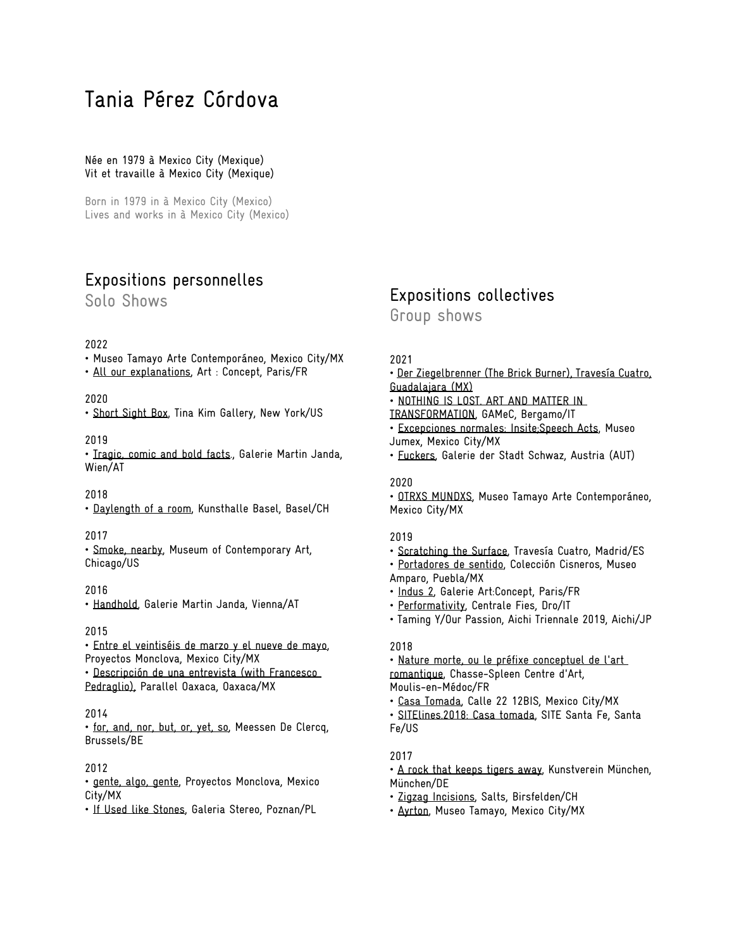# Tania Pérez Córdova

Née en 1979 à Mexico City (Mexique) Vit et travaille à Mexico City (Mexique)

Born in 1979 in à Mexico City (Mexico) Lives and works in à Mexico City (Mexico)

# Expositions personnelles

Solo Shows

#### 2022

- Museo Tamayo Arte Contemporáneo, Mexico City/MX
- All our explanations, Art : Concept, Paris/FR

## 2020

• Short Sight Box, Tina Kim Gallery, New York/US

#### 2019

• Tragic, comic and bold facts., Galerie Martin Janda, Wien/AT

## 2018

• Daylength of a room, Kunsthalle Basel, Basel/CH

## 2017

• Smoke, nearby, Museum of Contemporary Art, Chicago/US

## 2016

• Handhold, Galerie Martin Janda, Vienna/AT

#### 2015

• Entre el veintiséis de marzo y el nueve de mayo, Proyectos Monclova, Mexico City/MX • Descripción de una entrevista (with Francesco Pedraglio), Parallel Oaxaca, Oaxaca/MX

## 2014

• for, and, nor, but, or, yet, so, Meessen De Clercq, Brussels/BE

# 2012

• gente, algo, gente, Proyectos Monclova, Mexico City/MX

• If Used like Stones, Galeria Stereo, Poznan/PL

# Expositions collectives

Group shows

#### 2021

- Der Ziegelbrenner (The Brick Burner), Travesía Cuatro, Guadalajara (MX)
- NOTHING IS LOST. ART AND MATTER IN
- TRANSFORMATION, GAMeC, Bergamo/IT
- Excepciones normales: Insite;Speech Acts, Museo Jumex, Mexico City/MX
- Fuckers, Galerie der Stadt Schwaz, Austria (AUT)

#### 2020

• OTRXS MUNDXS, Museo Tamayo Arte Contemporáneo, Mexico City/MX

#### 2019

- Scratching the Surface, Travesía Cuatro, Madrid/ES
- Portadores de sentido, Colección Cisneros, Museo
- Amparo, Puebla/MX • Indus 2, Galerie Art:Concept, Paris/FR
- 
- Performativity, Centrale Fies, Dro/IT
- Taming Y/Our Passion, Aichi Triennale 2019, Aichi/JP

## 2018

- Nature morte, ou le préfixe conceptuel de l'art romantique, Chasse-Spleen Centre d'Art, Moulis-en-Médoc/FR
- Casa Tomada, Calle 22 12BIS, Mexico City/MX
- SITElines.2018: Casa tomada, SITE Santa Fe, Santa Fe/US

## 2017

• A rock that keeps tigers away, Kunstverein München, München/DE

- Zigzag Incisions, Salts, Birsfelden/CH
- Ayrton, Museo Tamayo, Mexico City/MX